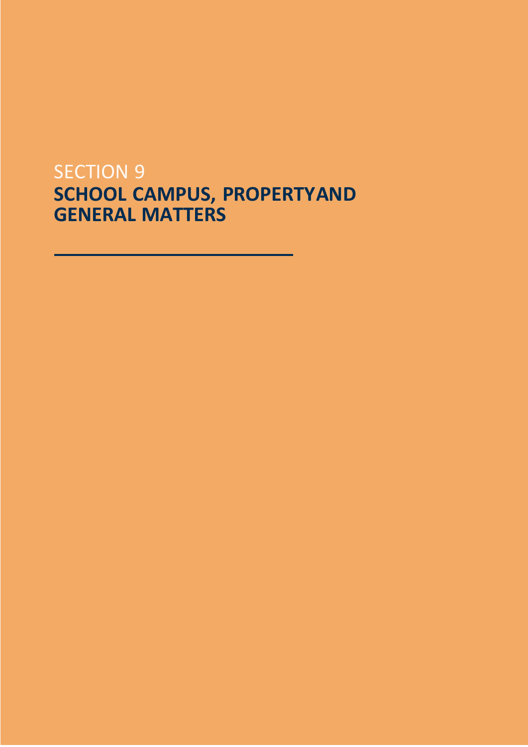# **SECTION 9 SCHOOL CAMPUS, PROPERTYAND GENERAL MATTERS**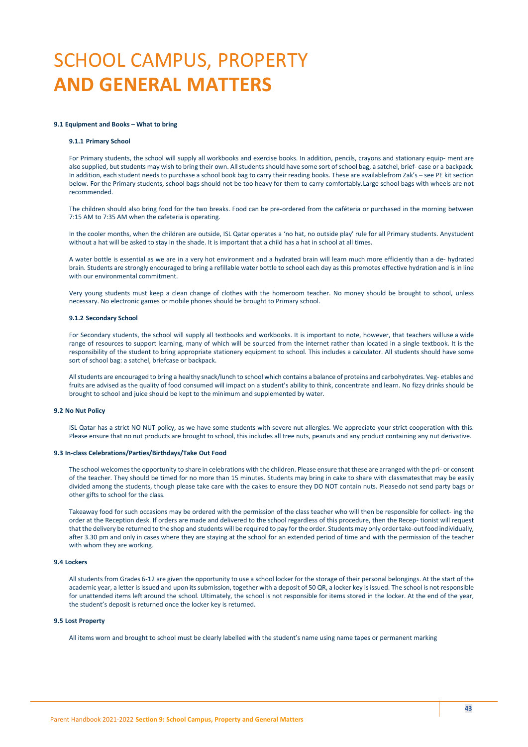# SCHOOL CAMPUS, PROPERTY **AND GENERAL MATTERS**

#### **9.1 Equipment and Books – What to bring**

#### **9.1.1 Primary School**

For Primary students, the school will supply all workbooks and exercise books. In addition, pencils, crayons and stationary equip- ment are also supplied, but students may wish to bring their own. All students should have some sort of school bag, a satchel, brief- case or a backpack. In addition, each student needs to purchase a school book bag to carry their reading books. These are availablefrom Zak's – see PE kit section below. For the Primary students, school bags should not be too heavy for them to carry comfortably.Large school bags with wheels are not recommended.

The children should also bring food for the two breaks. Food can be pre-ordered from the caféteria or purchased in the morning between 7:15 AM to 7:35 AM when the cafeteria is operating.

In the cooler months, when the children are outside, ISL Qatar operates a 'no hat, no outside play' rule for all Primary students. Anystudent without a hat will be asked to stay in the shade. It is important that a child has a hat in school at all times.

A water bottle is essential as we are in a very hot environment and a hydrated brain will learn much more efficiently than a de- hydrated brain. Students are strongly encouraged to bring a refillable water bottle to school each day as this promotes effective hydration and is in line with our environmental commitment.

Very young students must keep a clean change of clothes with the homeroom teacher. No money should be brought to school, unless necessary. No electronic games or mobile phones should be brought to Primary school.

#### **9.1.2 Secondary School**

For Secondary students, the school will supply all textbooks and workbooks. It is important to note, however, that teachers willuse a wide range of resources to support learning, many of which will be sourced from the internet rather than located in a single textbook. It is the responsibility of the student to bring appropriate stationery equipment to school. This includes a calculator. All students should have some sort of school bag: a satchel, briefcase or backpack.

Allstudents are encouraged to bring a healthy snack/lunch to school which contains a balance of proteins and carbohydrates. Veg- etables and fruits are advised as the quality of food consumed will impact on a student's ability to think, concentrate and learn. No fizzy drinks should be brought to school and juice should be kept to the minimum and supplemented by water.

## **9.2 No Nut Policy**

ISL Qatar has a strict NO NUT policy, as we have some students with severe nut allergies. We appreciate your strict cooperation with this. Please ensure that no nut products are brought to school, this includes all tree nuts, peanuts and any product containing any nut derivative.

#### **9.3 In-class Celebrations/Parties/Birthdays/Take Out Food**

The school welcomesthe opportunity to share in celebrations with the children. Please ensure that these are arranged with the pri- or consent of the teacher. They should be timed for no more than 15 minutes. Students may bring in cake to share with classmatesthat may be easily divided among the students, though please take care with the cakes to ensure they DO NOT contain nuts. Pleasedo not send party bags or other gifts to school for the class.

Takeaway food for such occasions may be ordered with the permission of the class teacher who will then be responsible for collect- ing the order at the Reception desk. If orders are made and delivered to the school regardless of this procedure, then the Recep- tionist will request that the delivery be returned to the shop and students will be required to pay for the order. Students may only ordertake-outfood individually, after 3.30 pm and only in cases where they are staying at the school for an extended period of time and with the permission of the teacher with whom they are working.

## **9.4 Lockers**

All students from Grades 6-12 are given the opportunity to use a school locker for the storage of their personal belongings. At the start of the academic year, a letter is issued and upon its submission, together with a deposit of 50 QR, a locker key is issued. The school is not responsible for unattended items left around the school. Ultimately, the school is not responsible for items stored in the locker. At the end of the year, the student's deposit is returned once the locker key is returned.

#### **9.5 Lost Property**

All items worn and brought to school must be clearly labelled with the student's name using name tapes or permanent marking